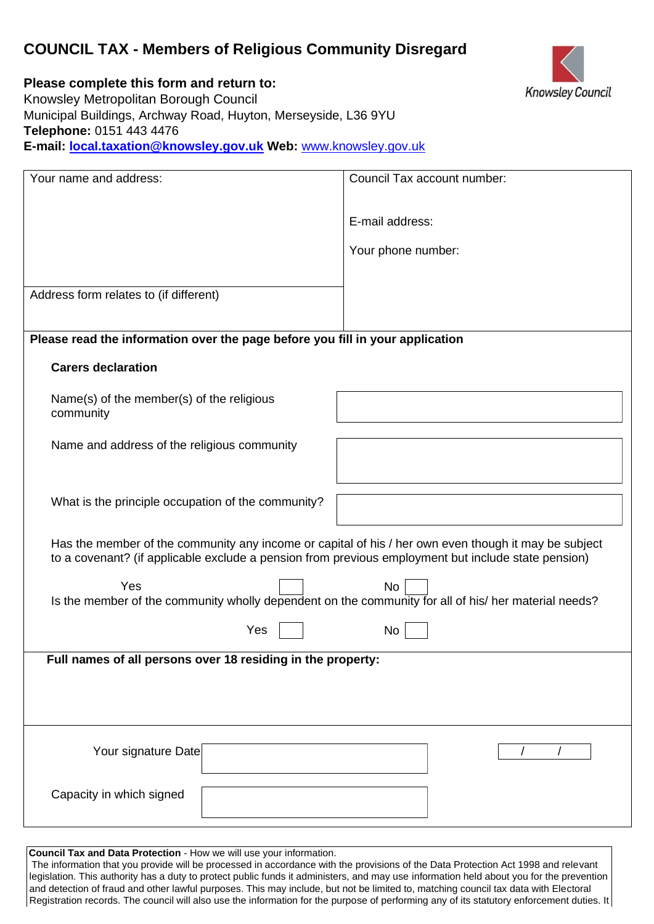# **COUNCIL TAX - Members of Religious Community Disregard**



**Please complete this form and return to:** 

Knowsley Metropolitan Borough Council Municipal Buildings, Archway Road, Huyton, Merseyside, L36 9YU **Telephone:** 0151 443 4476 **E-mail: local.taxation@knowsley.gov.uk Web:** [www.knowsley.gov.uk](http://www.knowsley.gov.uk/) 

| Your name and address:                                                                                                                                                                                      | Council Tax account number: |
|-------------------------------------------------------------------------------------------------------------------------------------------------------------------------------------------------------------|-----------------------------|
|                                                                                                                                                                                                             |                             |
|                                                                                                                                                                                                             | E-mail address:             |
|                                                                                                                                                                                                             | Your phone number:          |
|                                                                                                                                                                                                             |                             |
| Address form relates to (if different)                                                                                                                                                                      |                             |
|                                                                                                                                                                                                             |                             |
| Please read the information over the page before you fill in your application                                                                                                                               |                             |
| <b>Carers declaration</b>                                                                                                                                                                                   |                             |
| Name(s) of the member(s) of the religious<br>community                                                                                                                                                      |                             |
| Name and address of the religious community                                                                                                                                                                 |                             |
|                                                                                                                                                                                                             |                             |
| What is the principle occupation of the community?                                                                                                                                                          |                             |
| Has the member of the community any income or capital of his / her own even though it may be subject<br>to a covenant? (if applicable exclude a pension from previous employment but include state pension) |                             |
| Yes<br>Is the member of the community wholly dependent on the community for all of his/ her material needs?                                                                                                 | No                          |
| Yes                                                                                                                                                                                                         | No                          |
| Full names of all persons over 18 residing in the property:                                                                                                                                                 |                             |
|                                                                                                                                                                                                             |                             |
|                                                                                                                                                                                                             |                             |
| Your signature Date                                                                                                                                                                                         |                             |
|                                                                                                                                                                                                             |                             |
| Capacity in which signed                                                                                                                                                                                    |                             |
|                                                                                                                                                                                                             |                             |

**Council Tax and Data Protection** - How we will use your information.

The information that you provide will be processed in accordance with the provisions of the Data Protection Act 1998 and relevant legislation. This authority has a duty to protect public funds it administers, and may use information held about you for the prevention and detection of fraud and other lawful purposes. This may include, but not be limited to, matching council tax data with Electoral Registration records. The council will also use the information for the purpose of performing any of its statutory enforcement duties. It